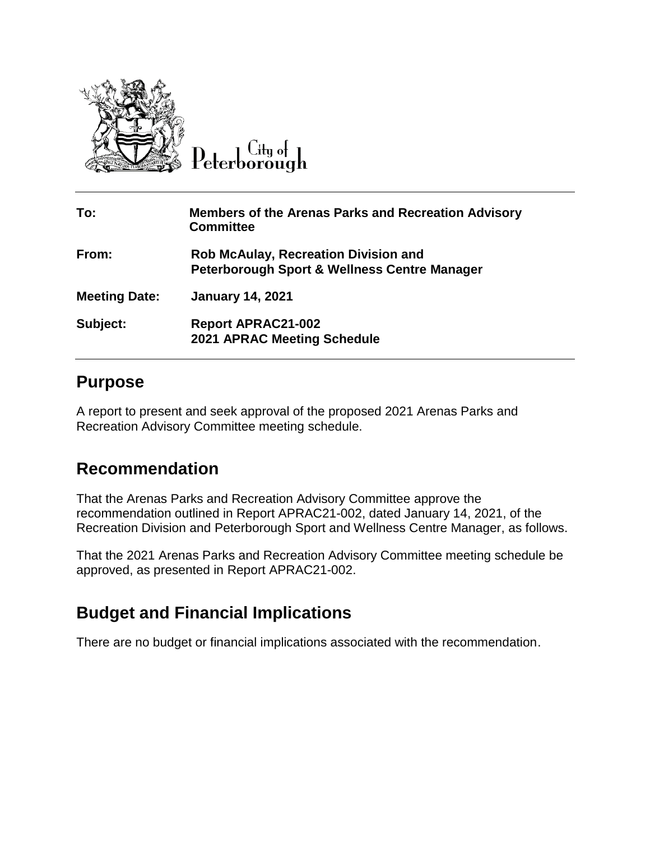

 $C$ ity of

| To:                  | <b>Members of the Arenas Parks and Recreation Advisory</b><br><b>Committee</b>                         |
|----------------------|--------------------------------------------------------------------------------------------------------|
| From:                | <b>Rob McAulay, Recreation Division and</b><br><b>Peterborough Sport &amp; Wellness Centre Manager</b> |
| <b>Meeting Date:</b> | <b>January 14, 2021</b>                                                                                |
| Subject:             | <b>Report APRAC21-002</b><br><b>2021 APRAC Meeting Schedule</b>                                        |

#### **Purpose**

A report to present and seek approval of the proposed 2021 Arenas Parks and Recreation Advisory Committee meeting schedule.

### **Recommendation**

That the Arenas Parks and Recreation Advisory Committee approve the recommendation outlined in Report APRAC21-002, dated January 14, 2021, of the Recreation Division and Peterborough Sport and Wellness Centre Manager, as follows.

That the 2021 Arenas Parks and Recreation Advisory Committee meeting schedule be approved, as presented in Report APRAC21-002.

## **Budget and Financial Implications**

There are no budget or financial implications associated with the recommendation.